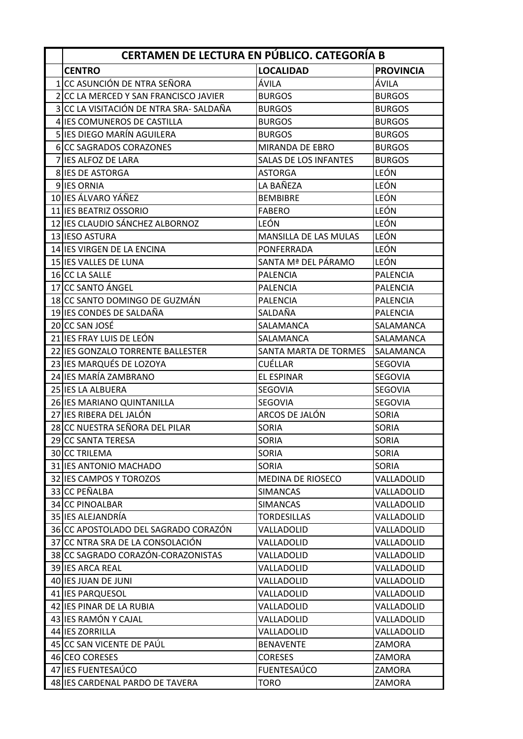| CERTAMEN DE LECTURA EN PÚBLICO. CATEGORÍA B |                              |                  |  |
|---------------------------------------------|------------------------------|------------------|--|
| <b>CENTRO</b>                               | <b>LOCALIDAD</b>             | <b>PROVINCIA</b> |  |
| 1 CC ASUNCIÓN DE NTRA SEÑORA                | ÁVILA                        | ÁVILA            |  |
| 2 CC LA MERCED Y SAN FRANCISCO JAVIER       | <b>BURGOS</b>                | <b>BURGOS</b>    |  |
| 3 CC LA VISITACIÓN DE NTRA SRA-SALDAÑA      | <b>BURGOS</b>                | <b>BURGOS</b>    |  |
| 4 IES COMUNEROS DE CASTILLA                 | <b>BURGOS</b>                | <b>BURGOS</b>    |  |
| 5 IES DIEGO MARÍN AGUILERA                  | <b>BURGOS</b>                | <b>BURGOS</b>    |  |
| 6 CC SAGRADOS CORAZONES                     | MIRANDA DE EBRO              | <b>BURGOS</b>    |  |
| 7 IES ALFOZ DE LARA                         | <b>SALAS DE LOS INFANTES</b> | <b>BURGOS</b>    |  |
| 8 IES DE ASTORGA                            | <b>ASTORGA</b>               | <b>LEÓN</b>      |  |
| 9 IES ORNIA                                 | LA BAÑEZA                    | LEÓN             |  |
| 10 IES ÁLVARO YÁÑEZ                         | <b>BEMBIBRE</b>              | LEÓN             |  |
| 11 IES BEATRIZ OSSORIO                      | <b>FABERO</b>                | LEÓN             |  |
| 12 IES CLAUDIO SÁNCHEZ ALBORNOZ             | LEÓN                         | LEÓN             |  |
| 13 IESO ASTURA                              | MANSILLA DE LAS MULAS        | <b>LEÓN</b>      |  |
| 14 IES VIRGEN DE LA ENCINA                  | PONFERRADA                   | LEÓN             |  |
| 15 IES VALLES DE LUNA                       | SANTA Mª DEL PÁRAMO          | <b>LEÓN</b>      |  |
| 16 CC LA SALLE                              | <b>PALENCIA</b>              | <b>PALENCIA</b>  |  |
| 17 CC SANTO ÁNGEL                           | <b>PALENCIA</b>              | <b>PALENCIA</b>  |  |
| 18 CC SANTO DOMINGO DE GUZMÁN               | <b>PALENCIA</b>              | <b>PALENCIA</b>  |  |
| 19 IES CONDES DE SALDAÑA                    | SALDAÑA                      | <b>PALENCIA</b>  |  |
| 20 CC SAN JOSÉ                              | SALAMANCA                    | SALAMANCA        |  |
| 21 IES FRAY LUIS DE LEÓN                    | SALAMANCA                    | SALAMANCA        |  |
| 22 IES GONZALO TORRENTE BALLESTER           | SANTA MARTA DE TORMES        | SALAMANCA        |  |
| 23 IES MARQUÉS DE LOZOYA                    | <b>CUÉLLAR</b>               | <b>SEGOVIA</b>   |  |
| 24 IES MARÍA ZAMBRANO                       | <b>EL ESPINAR</b>            | <b>SEGOVIA</b>   |  |
| 25 IES LA ALBUERA                           | SEGOVIA                      | SEGOVIA          |  |
| 26 IES MARIANO QUINTANILLA                  | SEGOVIA                      | SEGOVIA          |  |
| 27 IES RIBERA DEL JALÓN                     | ARCOS DE JALÓN               | <b>SORIA</b>     |  |
| 28 CC NUESTRA SEÑORA DEL PILAR              | <b>SORIA</b>                 | <b>SORIA</b>     |  |
| 29 CC SANTA TERESA                          | <b>SORIA</b>                 | <b>SORIA</b>     |  |
| 30 CC TRILEMA                               | <b>SORIA</b>                 | SORIA            |  |
| 31 IES ANTONIO MACHADO                      | <b>SORIA</b>                 | SORIA            |  |
| 32 IES CAMPOS Y TOROZOS                     | MEDINA DE RIOSECO            | VALLADOLID       |  |
| 33 CC PEÑALBA                               | <b>SIMANCAS</b>              | VALLADOLID       |  |
| 34 CC PINOALBAR                             | <b>SIMANCAS</b>              | VALLADOLID       |  |
| 35 IES ALEJANDRÍA                           | <b>TORDESILLAS</b>           | VALLADOLID       |  |
| 36 CC APOSTOLADO DEL SAGRADO CORAZÓN        | VALLADOLID                   | VALLADOLID       |  |
| 37 CC NTRA SRA DE LA CONSOLACIÓN            | VALLADOLID                   | VALLADOLID       |  |
| 38 CC SAGRADO CORAZÓN-CORAZONISTAS          | VALLADOLID                   | VALLADOLID       |  |
| 39 IES ARCA REAL                            | VALLADOLID                   | VALLADOLID       |  |
| 40 IES JUAN DE JUNI                         | VALLADOLID                   | VALLADOLID       |  |
| 41 IES PARQUESOL                            | VALLADOLID                   | VALLADOLID       |  |
| 42 IES PINAR DE LA RUBIA                    | VALLADOLID                   | VALLADOLID       |  |
| 43 IES RAMÓN Y CAJAL                        | VALLADOLID                   | VALLADOLID       |  |
| 44 IES ZORRILLA                             | VALLADOLID                   | VALLADOLID       |  |
| 45 CC SAN VICENTE DE PAÚL                   | <b>BENAVENTE</b>             | ZAMORA           |  |
| 46 CEO CORESES                              | <b>CORESES</b>               | ZAMORA           |  |
| 47 IES FUENTESAÚCO                          | <b>FUENTESAÚCO</b>           | ZAMORA           |  |
| 48 IES CARDENAL PARDO DE TAVERA             | <b>TORO</b>                  | ZAMORA           |  |